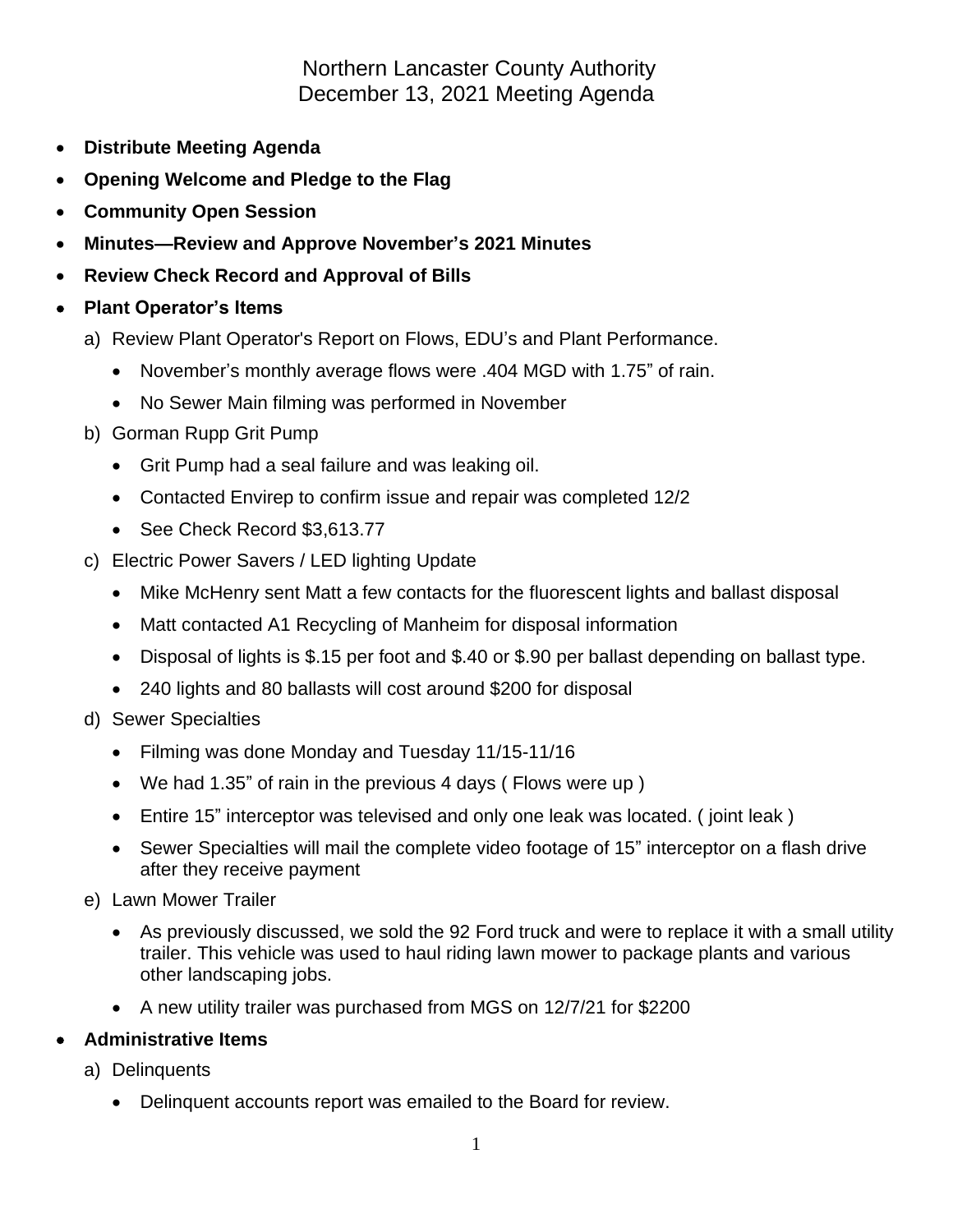Northern Lancaster County Authority December 13, 2021 Meeting Agenda

- **Distribute Meeting Agenda**
- **Opening Welcome and Pledge to the Flag**
- **Community Open Session**
- **Minutes—Review and Approve November's 2021 Minutes**
- **Review Check Record and Approval of Bills**
- **Plant Operator's Items**
	- a) Review Plant Operator's Report on Flows, EDU's and Plant Performance.
		- November's monthly average flows were .404 MGD with 1.75" of rain.
		- No Sewer Main filming was performed in November
	- b) Gorman Rupp Grit Pump
		- Grit Pump had a seal failure and was leaking oil.
		- Contacted Envirep to confirm issue and repair was completed 12/2
		- See Check Record \$3,613.77
	- c) Electric Power Savers / LED lighting Update
		- Mike McHenry sent Matt a few contacts for the fluorescent lights and ballast disposal
		- Matt contacted A1 Recycling of Manheim for disposal information
		- Disposal of lights is \$.15 per foot and \$.40 or \$.90 per ballast depending on ballast type.
		- 240 lights and 80 ballasts will cost around \$200 for disposal
	- d) Sewer Specialties
		- Filming was done Monday and Tuesday 11/15-11/16
		- We had 1.35" of rain in the previous 4 days ( Flows were up )
		- Entire 15" interceptor was televised and only one leak was located. ( joint leak )
		- Sewer Specialties will mail the complete video footage of 15" interceptor on a flash drive after they receive payment
	- e) Lawn Mower Trailer
		- As previously discussed, we sold the 92 Ford truck and were to replace it with a small utility trailer. This vehicle was used to haul riding lawn mower to package plants and various other landscaping jobs.
		- A new utility trailer was purchased from MGS on 12/7/21 for \$2200

## • **Administrative Items**

- a) Delinquents
	- Delinquent accounts report was emailed to the Board for review.